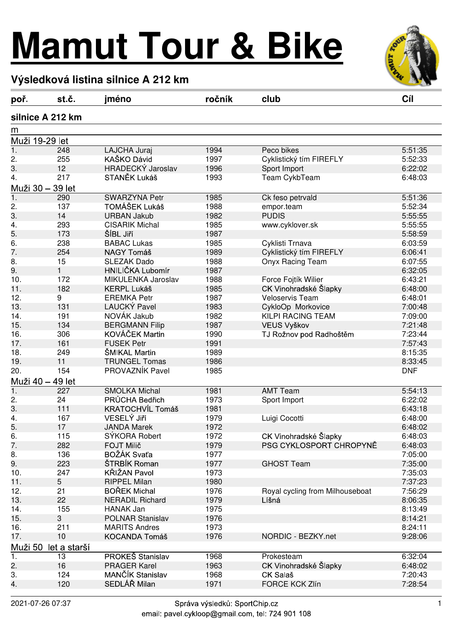## **Mamut Tour & Bike**



## **Výsledková listina silnice A 212 km**

| poř.                    | st.č.            | jméno                   | ročník | club                            | Cíl        |  |  |  |  |
|-------------------------|------------------|-------------------------|--------|---------------------------------|------------|--|--|--|--|
| silnice A 212 km        |                  |                         |        |                                 |            |  |  |  |  |
| m                       |                  |                         |        |                                 |            |  |  |  |  |
|                         | Muži 19-29 let   |                         |        |                                 |            |  |  |  |  |
| $\overline{1}$ .        | 248              | LAJCHA Juraj            | 1994   | Peco bikes                      | 5:51:35    |  |  |  |  |
| 2.                      | 255              | KAŠKO Dávid             | 1997   | Cyklistický tím FIREFLY         | 5:52:33    |  |  |  |  |
| 3.                      | 12               | HRADECKÝ Jaroslav       | 1996   | Sport Import                    | 6:22:02    |  |  |  |  |
| 4.                      | 217              | STANĚK Lukáš            | 1993   | Team CykbTeam                   | 6:48:03    |  |  |  |  |
|                         | Muži 30 – 39 let |                         |        |                                 |            |  |  |  |  |
| $\overline{1}$ .        | 290              | <b>SWARZYNA Petr</b>    | 1985   | Ck feso petrvald                | 5:51:36    |  |  |  |  |
| 2.                      | 137              | TOMÁŠEK Lukáš           | 1988   | empor.team                      | 5:52:34    |  |  |  |  |
| 3.                      | 14               | <b>URBAN Jakub</b>      | 1982   | <b>PUDIS</b>                    | 5:55:55    |  |  |  |  |
| 4.                      | 293              | <b>CISARIK Michal</b>   | 1985   | www.cyklover.sk                 | 5:55:55    |  |  |  |  |
| 5.                      | 173              | ŠÍBL Jiří               | 1987   |                                 | 5:58:59    |  |  |  |  |
| 6.                      | 238              | <b>BABAC Lukas</b>      | 1985   | Cyklisti Trnava                 | 6:03:59    |  |  |  |  |
| 7.                      | 254              | NAGY Tomáš              | 1989   | Cyklistický tím FIREFLY         | 6:06:41    |  |  |  |  |
| 8.                      | 15               | <b>SLEZAK Dado</b>      | 1988   | Onyx Racing Team                | 6:07:55    |  |  |  |  |
| 9.                      | 1                | HNILIČKA Lubomír        | 1987   |                                 | 6:32:05    |  |  |  |  |
| 10.                     | 172              | MIKULENKA Jaroslav      | 1988   | Force Fojtík Wilier             | 6:43:21    |  |  |  |  |
| 11.                     | 182              | <b>KERPL Lukáš</b>      | 1985   | CK Vinohradské Šlapky           | 6:48:00    |  |  |  |  |
| 12.                     | 9                | <b>EREMKA Petr</b>      | 1987   | <b>Veloservis Team</b>          | 6:48:01    |  |  |  |  |
| 13.                     | 131              | LAUCKÝ Pavel            | 1983   | CykloOp Morkovice               | 7:00:48    |  |  |  |  |
| 14.                     | 191              | NOVÁK Jakub             | 1982   | KILPI RACING TEAM               | 7:09:00    |  |  |  |  |
| 15.                     | 134              | <b>BERGMANN Filip</b>   | 1987   | VEUS Vyškov                     | 7:21:48    |  |  |  |  |
| 16.                     | 306              | KOVÁČEK Martin          | 1990   | TJ Rožnov pod Radhoštěm         | 7:23:44    |  |  |  |  |
| 17.                     | 161              | <b>FUSEK Petr</b>       | 1991   |                                 | 7:57:43    |  |  |  |  |
| 18.                     | 249              | ŠMIKAL Martin           | 1989   |                                 | 8:15:35    |  |  |  |  |
| 19.                     | 11               | <b>TRUNGEL Tomas</b>    | 1986   |                                 | 8:33:45    |  |  |  |  |
| 20.                     | 154              | PROVAZNÍK Pavel         | 1985   |                                 | <b>DNF</b> |  |  |  |  |
|                         | Muži 40 – 49 let |                         |        |                                 |            |  |  |  |  |
| $\mathbf 1$ .           | 227              | <b>SMOLKA Michal</b>    | 1981   | <b>AMT Team</b>                 | 5:54:13    |  |  |  |  |
| 2.                      | 24               | PRŮCHA Bedřich          | 1973   | Sport Import                    | 6:22:02    |  |  |  |  |
| 3.                      | 111              | <b>KRATOCHVÍL Tomáš</b> | 1981   |                                 | 6:43:18    |  |  |  |  |
| 4.                      | 167              | VESELÝ Jiří             | 1979   | Luigi Cocotti                   | 6:48:00    |  |  |  |  |
| 5.                      | 17               | <b>JANDA Marek</b>      | 1972   |                                 | 6:48:02    |  |  |  |  |
| 6.                      | 115              | SÝKORA Robert           | 1972   | CK Vinohradské Šlapky           | 6:48:03    |  |  |  |  |
| 7.                      | 282              | <b>FOJT Milič</b>       | 1979   | PSG CYKLOSPORT CHROPYNĚ         | 6:48:03    |  |  |  |  |
| 8.                      | 136              | BOŽÁK Svaťa             | 1977   |                                 | 7:05:00    |  |  |  |  |
| 9.                      | 223              | ŠTRBÍK Roman            | 1977   | <b>GHOST Team</b>               | 7:35:00    |  |  |  |  |
| 10.                     | 247              | KŘIŽAN Pavol            | 1973   |                                 | 7:35:03    |  |  |  |  |
| 11.                     | 5                | <b>RIPPEL Milan</b>     | 1980   |                                 | 7:37:23    |  |  |  |  |
| 12.                     | 21               | <b>BOŘEK Michal</b>     | 1976   | Royal cycling from Milhouseboat | 7:56:29    |  |  |  |  |
| 13.                     | 22               | <b>NERADIL Richard</b>  | 1979   | Líšná                           | 8:06:35    |  |  |  |  |
| 14.                     | 155              | <b>HANAK Jan</b>        | 1975   |                                 | 8:13:49    |  |  |  |  |
| 15.                     | 3                | <b>POLNAR Stanislav</b> | 1976   |                                 | 8:14:21    |  |  |  |  |
| 16.                     | 211              | <b>MARITS Andres</b>    | 1973   |                                 | 8:24:11    |  |  |  |  |
| 17.                     | 10               | <b>KOCANDA Tomáš</b>    | 1976   | NORDIC - BEZKY.net              | 9:28:06    |  |  |  |  |
| Muži 50<br>let a starší |                  |                         |        |                                 |            |  |  |  |  |
| 1.                      | 13               | PROKEŠ Stanislav        | 1968   | Prokesteam                      | 6:32:04    |  |  |  |  |
| 2.                      | 16               | <b>PRAGER Karel</b>     | 1963   | CK Vinohradské Šlapky           | 6:48:02    |  |  |  |  |
| 3.                      | 124              | MANČÍK Stanislav        | 1968   | CK Salaš                        | 7:20:43    |  |  |  |  |
| 4.                      | 120              | SEDLÁŘ Milan            | 1971   | FORCE KCK Zlín                  | 7:28:54    |  |  |  |  |